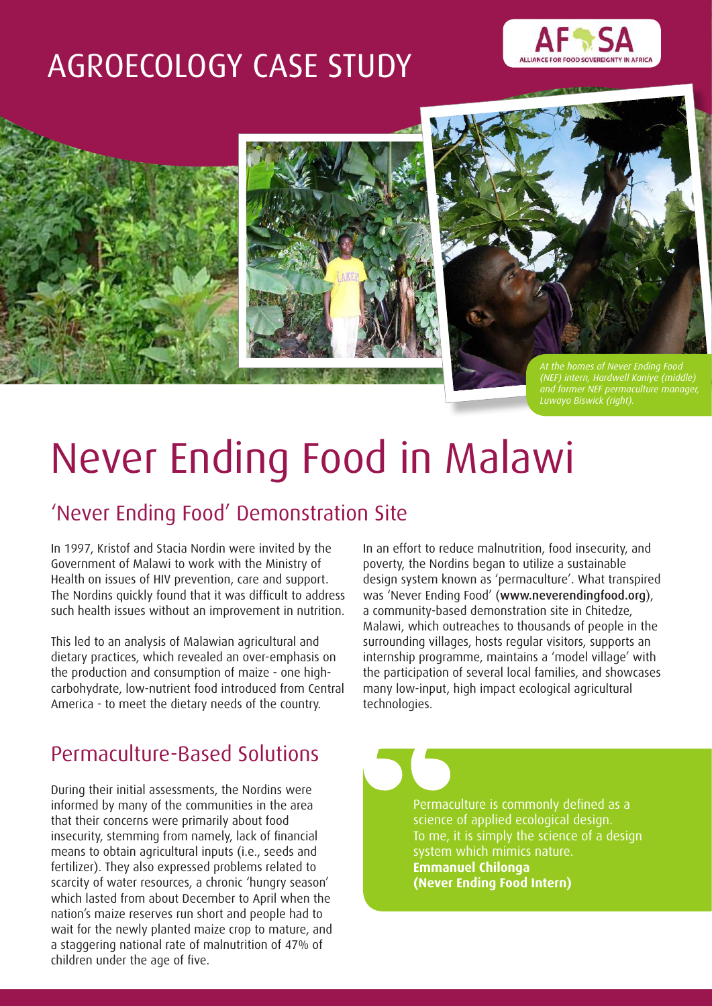# AGROECOLOGY CASE STUDY





Never Ending Food in Malawi

# 'Never Ending Food' Demonstration Site

In 1997, Kristof and Stacia Nordin were invited by the Government of Malawi to work with the Ministry of Health on issues of HIV prevention, care and support. The Nordins quickly found that it was difficult to address such health issues without an improvement in nutrition.

This led to an analysis of Malawian agricultural and dietary practices, which revealed an over-emphasis on the production and consumption of maize - one highcarbohydrate, low-nutrient food introduced from Central America - to meet the dietary needs of the country.

# Permaculture-Based Solutions

During their initial assessments, the Nordins were informed by many of the communities in the area that their concerns were primarily about food insecurity, stemming from namely, lack of financial means to obtain agricultural inputs (i.e., seeds and fertilizer). They also expressed problems related to scarcity of water resources, a chronic 'hungry season' which lasted from about December to April when the nation's maize reserves run short and people had to wait for the newly planted maize crop to mature, and a staggering national rate of malnutrition of 47% of children under the age of five.

In an effort to reduce malnutrition, food insecurity, and poverty, the Nordins began to utilize a sustainable design system known as 'permaculture'. What transpired was 'Never Ending Food' (www.neverendingfood.org), a community-based demonstration site in Chitedze, Malawi, which outreaches to thousands of people in the surrounding villages, hosts regular visitors, supports an internship programme, maintains a 'model village' with the participation of several local families, and showcases many low-input, high impact ecological agricultural technologies.

> Permaculture is commonly defined as a science of applied ecological design. To me, it is simply the science of a design system which mimics nature. **Emmanuel Chilonga (Never Ending Food Intern)**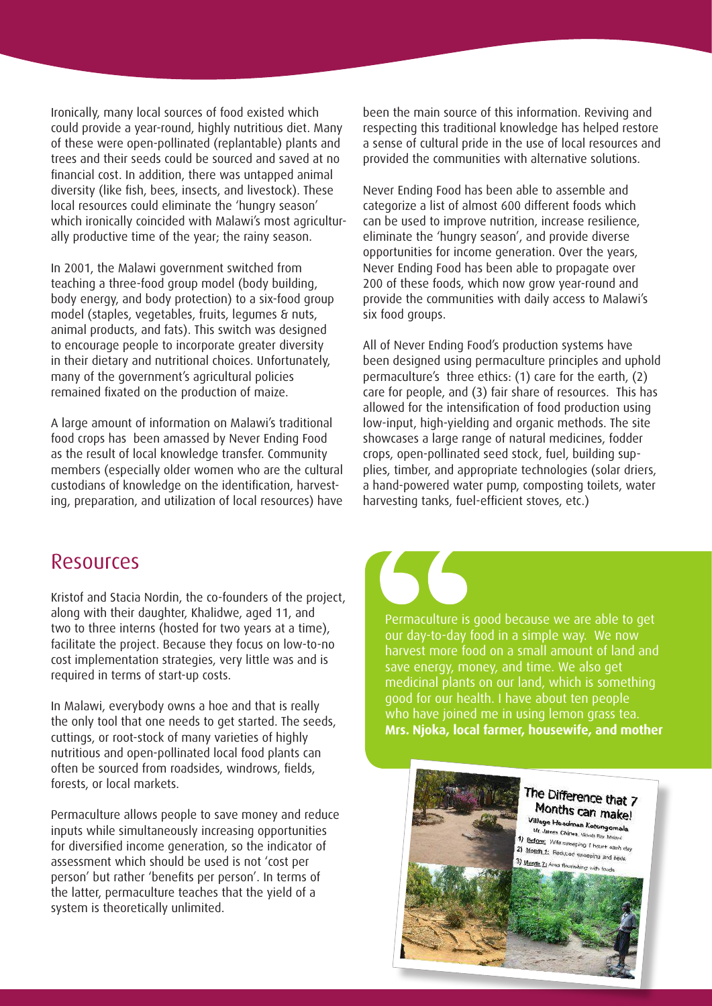Ironically, many local sources of food existed which could provide a year-round, highly nutritious diet. Many of these were open-pollinated (replantable) plants and trees and their seeds could be sourced and saved at no financial cost. In addition, there was untapped animal diversity (like fish, bees, insects, and livestock). These local resources could eliminate the 'hungry season' which ironically coincided with Malawi's most agriculturally productive time of the year; the rainy season.

In 2001, the Malawi government switched from teaching a three-food group model (body building, body energy, and body protection) to a six-food group model (staples, vegetables, fruits, legumes & nuts, animal products, and fats). This switch was designed to encourage people to incorporate greater diversity in their dietary and nutritional choices. Unfortunately, many of the government's agricultural policies remained fixated on the production of maize.

A large amount of information on Malawi's traditional food crops has been amassed by Never Ending Food as the result of local knowledge transfer. Community members (especially older women who are the cultural custodians of knowledge on the identification, harvesting, preparation, and utilization of local resources) have been the main source of this information. Reviving and respecting this traditional knowledge has helped restore a sense of cultural pride in the use of local resources and provided the communities with alternative solutions.

Never Ending Food has been able to assemble and categorize a list of almost 600 different foods which can be used to improve nutrition, increase resilience, eliminate the 'hungry season', and provide diverse opportunities for income generation. Over the years, Never Ending Food has been able to propagate over 200 of these foods, which now grow year-round and provide the communities with daily access to Malawi's six food groups.

All of Never Ending Food's production systems have been designed using permaculture principles and uphold permaculture's three ethics: (1) care for the earth, (2) care for people, and (3) fair share of resources. This has allowed for the intensification of food production using low-input, high-yielding and organic methods. The site showcases a large range of natural medicines, fodder crops, open-pollinated seed stock, fuel, building supplies, timber, and appropriate technologies (solar driers, a hand-powered water pump, composting toilets, water harvesting tanks, fuel-efficient stoves, etc.)

#### Resources

Kristof and Stacia Nordin, the co-founders of the project, along with their daughter, Khalidwe, aged 11, and two to three interns (hosted for two years at a time), facilitate the project. Because they focus on low-to-no cost implementation strategies, very little was and is required in terms of start-up costs.

In Malawi, everybody owns a hoe and that is really the only tool that one needs to get started. The seeds, cuttings, or root-stock of many varieties of highly nutritious and open-pollinated local food plants can often be sourced from roadsides, windrows, fields, forests, or local markets.

Permaculture allows people to save money and reduce inputs while simultaneously increasing opportunities for diversified income generation, so the indicator of assessment which should be used is not 'cost per person' but rather 'benefits per person'. In terms of the latter, permaculture teaches that the yield of a system is theoretically unlimited.

Permaculture is good because we are able to get our day-to-day food in a simple way. We now harvest more food on a small amount of land and save energy, money, and time. We also get medicinal plants on our land, which is something good for our health. I have about ten people who have joined me in using lemon grass tea. **Mrs. Njoka, local farmer, housewife, and mother**

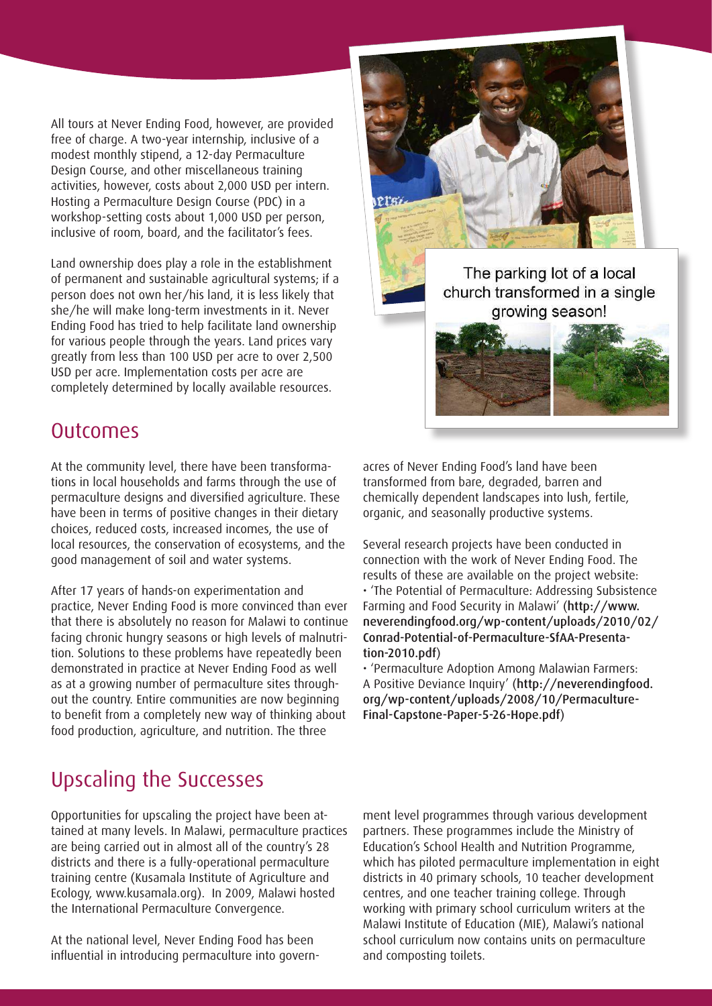All tours at Never Ending Food, however, are provided free of charge. A two-year internship, inclusive of a modest monthly stipend, a 12-day Permaculture Design Course, and other miscellaneous training activities, however, costs about 2,000 USD per intern. Hosting a Permaculture Design Course (PDC) in a workshop-setting costs about 1,000 USD per person, inclusive of room, board, and the facilitator's fees.

Land ownership does play a role in the establishment of permanent and sustainable agricultural systems; if a person does not own her/his land, it is less likely that she/he will make long-term investments in it. Never Ending Food has tried to help facilitate land ownership for various people through the years. Land prices vary greatly from less than 100 USD per acre to over 2,500 USD per acre. Implementation costs per acre are completely determined by locally available resources.





### **Outcomes**

At the community level, there have been transformations in local households and farms through the use of permaculture designs and diversified agriculture. These have been in terms of positive changes in their dietary choices, reduced costs, increased incomes, the use of local resources, the conservation of ecosystems, and the good management of soil and water systems.

After 17 years of hands-on experimentation and practice, Never Ending Food is more convinced than ever that there is absolutely no reason for Malawi to continue facing chronic hungry seasons or high levels of malnutrition. Solutions to these problems have repeatedly been demonstrated in practice at Never Ending Food as well as at a growing number of permaculture sites throughout the country. Entire communities are now beginning to benefit from a completely new way of thinking about food production, agriculture, and nutrition. The three

# Upscaling the Successes

Opportunities for upscaling the project have been attained at many levels. In Malawi, permaculture practices are being carried out in almost all of the country's 28 districts and there is a fully-operational permaculture training centre (Kusamala Institute of Agriculture and Ecology, www.kusamala.org). In 2009, Malawi hosted the International Permaculture Convergence.

At the national level, Never Ending Food has been influential in introducing permaculture into governacres of Never Ending Food's land have been transformed from bare, degraded, barren and chemically dependent landscapes into lush, fertile, organic, and seasonally productive systems.

Several research projects have been conducted in connection with the work of Never Ending Food. The results of these are available on the project website: • 'The Potential of Permaculture: Addressing Subsistence Farming and Food Security in Malawi' (http://www. neverendingfood.org/wp-content/uploads/2010/02/ Conrad-Potential-of-Permaculture-SfAA-Presentation-2010.pdf)

• 'Permaculture Adoption Among Malawian Farmers: A Positive Deviance Inquiry' (http://neverendingfood. org/wp-content/uploads/2008/10/Permaculture-Final-Capstone-Paper-5-26-Hope.pdf)

ment level programmes through various development partners. These programmes include the Ministry of Education's School Health and Nutrition Programme, which has piloted permaculture implementation in eight districts in 40 primary schools, 10 teacher development centres, and one teacher training college. Through working with primary school curriculum writers at the Malawi Institute of Education (MIE), Malawi's national school curriculum now contains units on permaculture and composting toilets.